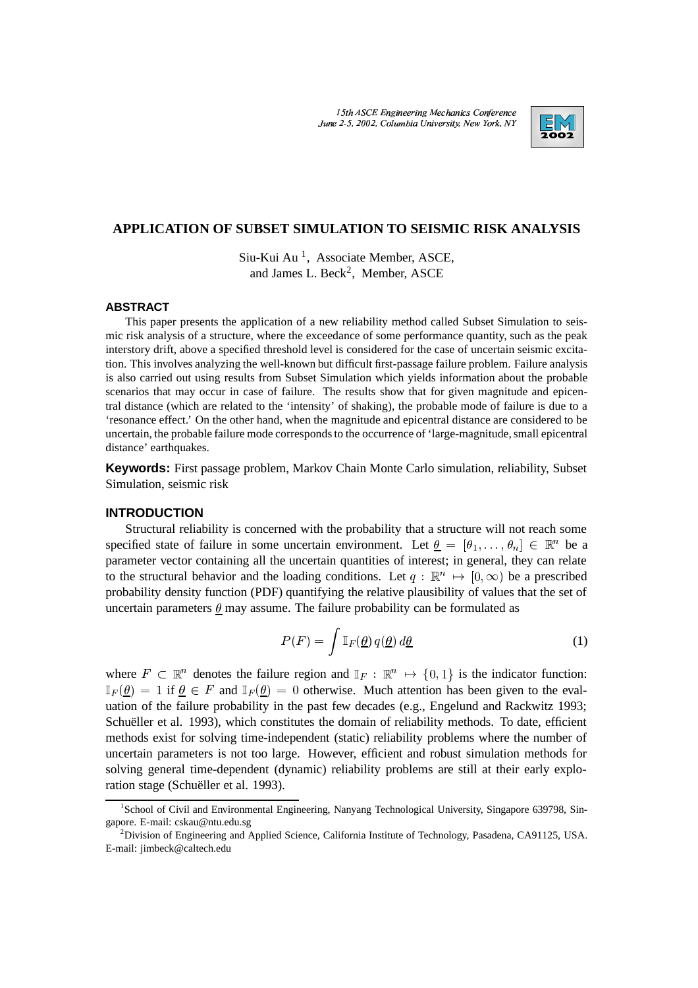15th ASCE Engineering Mechanics Conference \| \_ June 2-5, 2002. Columbia University. New York, N



# **APPLICATION OF SUBSET SIMULATION TO SEISMIC RISK ANALYSIS**

Siu-Kui Au<sup>1</sup>, Associate Member, ASCE, and James L. Beck<sup>2</sup>, Member, ASCE

#### **ABSTRACT**

This paper presents the application of a new reliability method called Subset Simulation to seismic risk analysis of a structure, where the exceedance of some performance quantity, such as the peak interstory drift, above a specified threshold level is considered for the case of uncertain seismic excitation. This involves analyzing the well-known but difficult first-passage failure problem. Failure analysis is also carried out using results from Subset Simulation which yields information about the probable scenarios that may occur in case of failure. The results show that for given magnitude and epicentral distance (which are related to the 'intensity' of shaking), the probable mode of failure is due to a 'resonance effect.' On the other hand, when the magnitude and epicentral distance are considered to be uncertain, the probable failure mode corresponds to the occurrence of 'large-magnitude, small epicentral distance' earthquakes.

**Keywords:** First passage problem, Markov Chain Monte Carlo simulation, reliability, Subset Simulation, seismic risk

## **INTRODUCTION**

Structural reliability is concerned with the probability that a structure will not reach some specified state of failure in some uncertain environment. Let  $\underline{\theta} = [\theta_1,\ldots,\theta_n] \in \mathbb{R}^n$  be a parameter vector containing all the uncertain quantities of interest; in general, they can relate to the structural behavior and the loading conditions. Let  $q : \mathbb{R}^n \to [0, \infty)$  be a prescribed probability density function (PDF) quantifying the relative plausibility of values that the set of uncertain parameters  $\theta$  may assume. The failure probability can be formulated as

$$
P(F) = \int \mathbb{I}_F(\underline{\theta}) q(\underline{\theta}) d\underline{\theta}
$$
 (1)

where  $F \subset \mathbb{R}^n$  denotes the failure region and  $\mathbb{I}_F : \mathbb{R}^n \to \{0,1\}$  is the indicator function:  $\mathbb{I}_F(\underline{\theta}) = 1$  if  $\underline{\theta} \in F$  and  $\mathbb{I}_F(\underline{\theta}) = 0$  otherwise. Much attention has been given to the evaluation of the failure probability in the past few decades (e.g., Engelund and Rackwitz 1993; Schueller et al. 1993), which constitutes the domain of reliability methods. To date, efficient methods exist for solving time-independent (static) reliability problems where the number of uncertain parameters is not too large. However, efficient and robust simulation methods for solving general time-dependent (dynamic) reliability problems are still at their early exploration stage (Schuëller et al. 1993).

<sup>&</sup>lt;sup>1</sup>School of Civil and Environmental Engineering, Nanyang Technological University, Singapore 639798, Singapore. E-mail: cskau@ntu.edu.sg

<sup>&</sup>lt;sup>2</sup>Division of Engineering and Applied Science, California Institute of Technology, Pasadena, CA91125, USA. E-mail: jimbeck@caltech.edu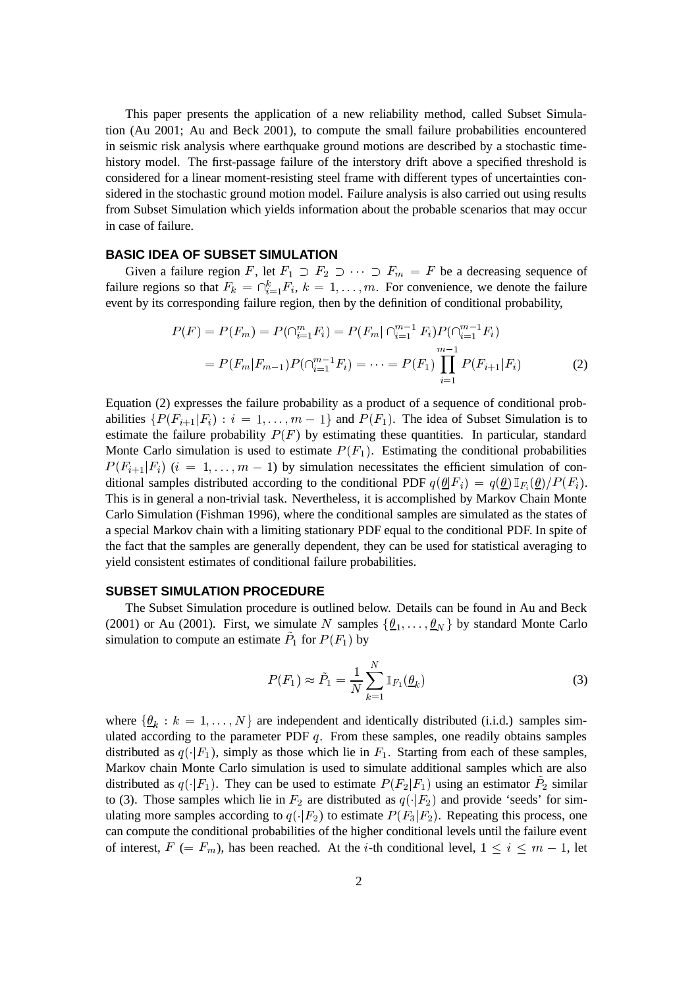This paper presents the application of a new reliability method, called Subset Simulation (Au 2001; Au and Beck 2001), to compute the small failure probabilities encountered in seismic risk analysis where earthquake ground motions are described by a stochastic timehistory model. The first-passage failure of the interstory drift above a specified threshold is considered for a linear moment-resisting steel frame with different types of uncertainties considered in the stochastic ground motion model. Failure analysis is also carried out using results from Subset Simulation which yields information about the probable scenarios that may occur in case of failure.

## **BASIC IDEA OF SUBSET SIMULATION**

Given a failure region F, let  $F_1 \supset F_2 \supset \cdots \supset F_m = F$  be a decreasing sequence of failure regions so that  $F_k = \bigcap_{i=1}^k F_i$ ,  $k = 1, \ldots, m$ . For convenience, we denote the failure event by its corresponding failure region, then by the definition of conditional probability,

$$
P(F) = P(F_m) = P(\bigcap_{i=1}^{m} F_i) = P(F_m | \bigcap_{i=1}^{m-1} F_i) P(\bigcap_{i=1}^{m-1} F_i)
$$
  
= 
$$
P(F_m | F_{m-1}) P(\bigcap_{i=1}^{m-1} F_i) = \dots = P(F_1) \prod_{i=1}^{m-1} P(F_{i+1} | F_i)
$$
 (2)

Equation (2) expresses the failure probability as a product of a sequence of conditional probabilities  $\{P(F_{i+1}|F_i) : i = 1,\ldots,m-1\}$  and  $P(F_1)$ . The idea of Subset Simulation is to estimate the failure probability  $P(F)$  by estimating these quantities. In particular, standard Monte Carlo simulation is used to estimate  $P(F_1)$ . Estimating the conditional probabilities  $P(F_{i+1}|F_i)$   $(i = 1, \ldots, m-1)$  by simulation necessitates the efficient simulation of conditional samples distributed according to the conditional PDF  $q(\underline{\theta}|F_i) = q(\underline{\theta}) \mathbb{I}_{F_i}(\underline{\theta})/P(F_i)$ . This is in general a non-trivial task. Nevertheless, it is accomplished by Markov Chain Monte Carlo Simulation (Fishman 1996), where the conditional samples are simulated as the states of a special Markov chain with a limiting stationary PDF equal to the conditional PDF. In spite of the fact that the samples are generally dependent, they can be used for statistical averaging to yield consistent estimates of conditional failure probabilities.

#### **SUBSET SIMULATION PROCEDURE**

The Subset Simulation procedure is outlined below. Details can be found in Au and Beck (2001) or Au (2001). First, we simulate N samples  $\{\theta_1, \dots, \theta_N\}$  by standard Monte Carlo simulation to compute an estimate  $P_1$  for  $P(F_1)$  by

$$
P(F_1) \approx \tilde{P}_1 = \frac{1}{N} \sum_{k=1}^{N} \mathbb{I}_{F_1}(\underline{\theta}_k)
$$
\n(3)

where  $\{\theta_k : k = 1, \ldots, N\}$  are independent and identically distributed (i.i.d.) samples simulated according to the parameter PDF  $q$ . From these samples, one readily obtains samples distributed as  $q(\cdot|F_1)$ , simply as those which lie in  $F_1$ . Starting from each of these samples, Markov chain Monte Carlo simulation is used to simulate additional samples which are also distributed as  $q(\cdot|F_1)$ . They can be used to estimate  $P(F_2|F_1)$  using an estimator  $P_2$  similar to (3). Those samples which lie in  $F_2$  are distributed as  $q(\cdot|F_2)$  and provide 'seeds' for simulating more samples according to  $q(\cdot|F_2)$  to estimate  $P(F_3|F_2)$ . Repeating this process, one can compute the conditional probabilities of the higher conditional levels until the failure event of interest,  $F (= F_m)$ , has been reached. At the *i*-th conditional level,  $1 \leq i \leq m-1$ , let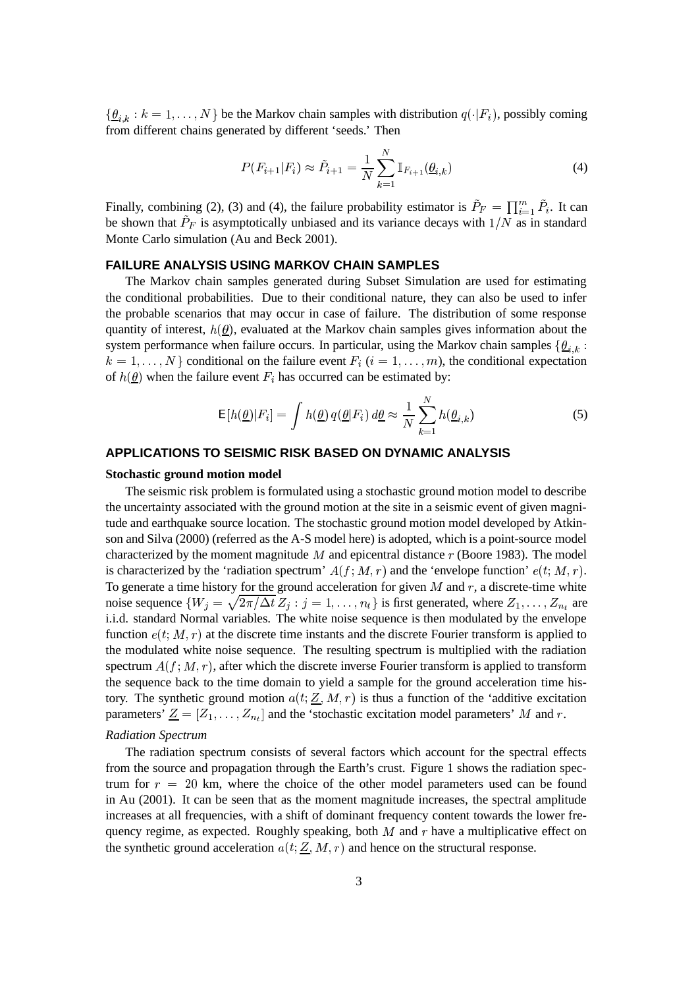$\{\underline{\theta}_{i,k}: k = 1, \ldots, N\}$  be the Markov chain samples with distribution  $q(\cdot|F_i)$ , possibly coming from different chains generated by different 'seeds.' Then

$$
P(F_{i+1}|F_i) \approx \tilde{P}_{i+1} = \frac{1}{N} \sum_{k=1}^{N} \mathbb{I}_{F_{i+1}}(\underline{\theta}_{i,k})
$$
\n(4)

Finally, combining (2), (3) and (4), the failure probability estimator is  $P_F = \prod_{i=1}^m P_i$ . It can be shown that  $P_F$  is asymptotically unbiased and its variance decays with  $1/N$  as in standard Monte Carlo simulation (Au and Beck 2001).

# **FAILURE ANALYSIS USING MARKOV CHAIN SAMPLES**

The Markov chain samples generated during Subset Simulation are used for estimating the conditional probabilities. Due to their conditional nature, they can also be used to infer the probable scenarios that may occur in case of failure. The distribution of some response quantity of interest,  $h(\underline{\theta})$ , evaluated at the Markov chain samples gives information about the system performance when failure occurs. In particular, using the Markov chain samples  $\{\theta_{i,k}:$  $k = 1, \ldots, N$  conditional on the failure event  $F_i$   $(i = 1, \ldots, m)$ , the conditional expectation of  $h(\underline{\theta})$  when the failure event  $F_i$  has occurred can be estimated by:

$$
E[h(\underline{\theta})|F_i] = \int h(\underline{\theta}) q(\underline{\theta}|F_i) d\underline{\theta} \approx \frac{1}{N} \sum_{k=1}^{N} h(\underline{\theta}_{i,k})
$$
(5)

## **APPLICATIONS TO SEISMIC RISK BASED ON DYNAMIC ANALYSIS**

#### **Stochastic ground motion model**

The seismic risk problem is formulated using a stochastic ground motion model to describe the uncertainty associated with the ground motion at the site in a seismic event of given magnitude and earthquake source location. The stochastic ground motion model developed by Atkinson and Silva (2000) (referred as the A-S model here) is adopted, which is a point-source model characterized by the moment magnitude  $M$  and epicentral distance  $r$  (Boore 1983). The model is characterized by the 'radiation spectrum'  $A(f; M, r)$  and the 'envelope function'  $e(t; M, r)$ . To generate a time history for the ground acceleration for given  $M$  and  $r$ , a discrete-time white noise sequence  $\{W_j = \sqrt{2\pi/\Delta t} Z_j : j = 1, \ldots, n_t\}$  is first generated, where  $Z_1, \ldots, Z_{n_t}$  are i.i.d. standard Normal variables. The white noise sequence is then modulated by the envelope function  $e(t; M, r)$  at the discrete time instants and the discrete Fourier transform is applied to the modulated white noise sequence. The resulting spectrum is multiplied with the radiation spectrum  $A(f; M, r)$ , after which the discrete inverse Fourier transform is applied to transform the sequence back to the time domain to yield a sample for the ground acceleration time history. The synthetic ground motion  $a(t; Z, M, r)$  is thus a function of the 'additive excitation parameters'  $\underline{Z} = [Z_1, \ldots, Z_{n_t}]$  and the 'stochastic excitation model parameters' M and r.

#### *Radiation Spectrum*

The radiation spectrum consists of several factors which account for the spectral effects from the source and propagation through the Earth's crust. Figure 1 shows the radiation spectrum for  $r = 20$  km, where the choice of the other model parameters used can be found in Au (2001). It can be seen that as the moment magnitude increases, the spectral amplitude increases at all frequencies, with a shift of dominant frequency content towards the lower frequency regime, as expected. Roughly speaking, both  $M$  and  $r$  have a multiplicative effect on the synthetic ground acceleration  $a(t; Z, M, r)$  and hence on the structural response.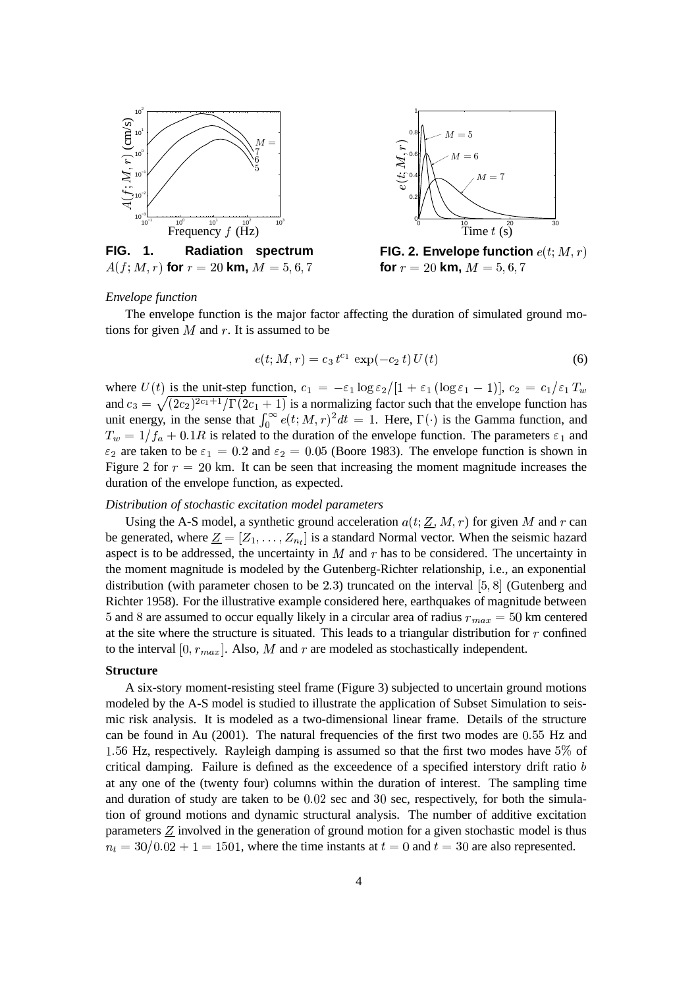

#### *Envelope function*

The envelope function is the major factor affecting the duration of simulated ground motions for given  $M$  and  $r$ . It is assumed to be

$$
e(t; M, r) = c_3 t^{c_1} \exp(-c_2 t) U(t)
$$
 (6)

where  $U(t)$  is the unit-step function,  $c_1 = -\varepsilon_1 \log \varepsilon_2/[1 + \varepsilon_1 (\log \varepsilon_1 - 1)]$ ,  $c_2 = c_1/\varepsilon_1 T_w$ and  $c_3 = \sqrt{(2c_2)^{2c_1+1}/\Gamma(2c_1+1)}$  is a normalizing factor such that the envelope function has unit energy, in the sense that  $\int_0^\infty e(t; M, r)^2 dt = 1$ . Here,  $\Gamma(\cdot)$  is the Gamma function, and  $T_w = 1/f_a + 0.1R$  is related to the duration of the envelope function. The parameters  $\varepsilon_1$  and  $\varepsilon_2$  are taken to be  $\varepsilon_1 = 0.2$  and  $\varepsilon_2 = 0.05$  (Boore 1983). The envelope function is shown in Figure 2 for  $r = 20$  km. It can be seen that increasing the moment magnitude increases the duration of the envelope function, as expected.

#### *Distribution of stochastic excitation model parameters*

Using the A-S model, a synthetic ground acceleration  $a(t, Z, M, r)$  for given M and r can be generated, where  $\underline{Z} = [Z_1, \ldots, Z_{n_t}]$  is a standard Normal vector. When the seismic hazard aspect is to be addressed, the uncertainty in  $M$  and  $r$  has to be considered. The uncertainty in the moment magnitude is modeled by the Gutenberg-Richter relationship, i.e., an exponential distribution (with parameter chosen to be 2.3) truncated on the interval  $[5, 8]$  (Gutenberg and Richter 1958). For the illustrative example considered here, earthquakes of magnitude between 5 and 8 are assumed to occur equally likely in a circular area of radius  $r_{max} = 50$  km centered at the site where the structure is situated. This leads to a triangular distribution for  $r$  confined to the interval  $[0, r_{max}]$ . Also, M and r are modeled as stochastically independent.

#### **Structure**

A six-story moment-resisting steel frame (Figure 3) subjected to uncertain ground motions modeled by the A-S model is studied to illustrate the application of Subset Simulation to seismic risk analysis. It is modeled as a two-dimensional linear frame. Details of the structure can be found in Au  $(2001)$ . The natural frequencies of the first two modes are  $0.55$  Hz and 1.56 Hz, respectively. Rayleigh damping is assumed so that the first two modes have 5% of critical damping. Failure is defined as the exceedence of a specified interstory drift ratio  $b$ at any one of the (twenty four) columns within the duration of interest. The sampling time and duration of study are taken to be  $0.02$  sec and  $30$  sec, respectively, for both the simulation of ground motions and dynamic structural analysis. The number of additive excitation parameters  $Z$  involved in the generation of ground motion for a given stochastic model is thus  $n_t = 30/0.02 + 1 = 1501$ , where the time instants at  $t = 0$  and  $t = 30$  are also represented.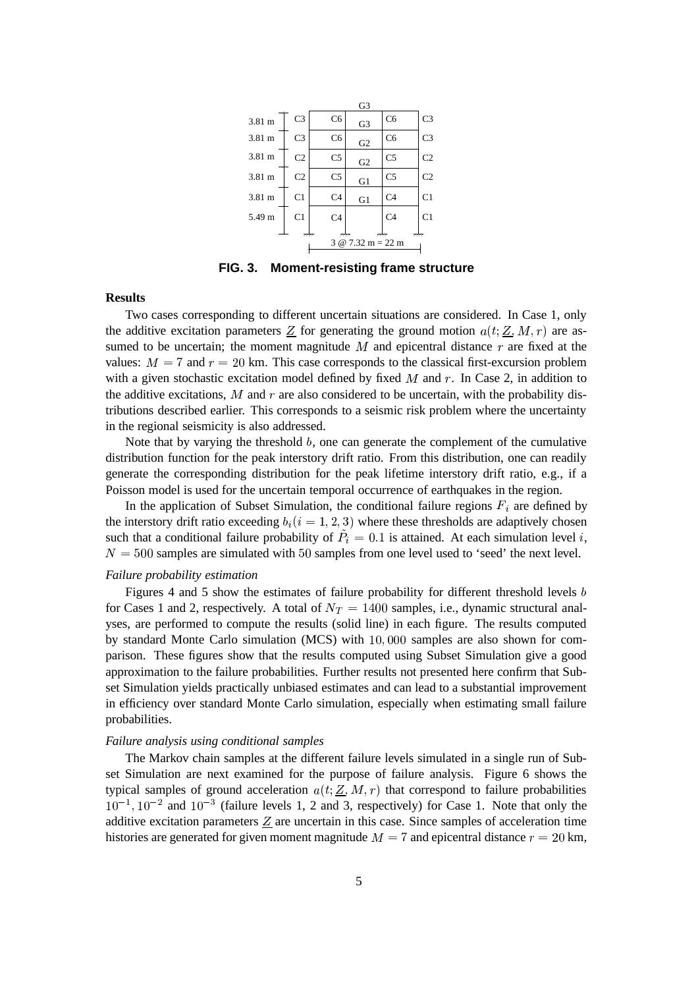|                                                                             |                |                | G3             |                |                |
|-----------------------------------------------------------------------------|----------------|----------------|----------------|----------------|----------------|
| 3.81 m                                                                      | C <sub>3</sub> | C <sub>6</sub> | G <sub>3</sub> | C <sub>6</sub> | C <sub>3</sub> |
| 3.81 m                                                                      | C <sub>3</sub> | C <sub>6</sub> | G2             | C <sub>6</sub> | C <sub>3</sub> |
| 3.81 m                                                                      | C <sub>2</sub> | C <sub>5</sub> | G2             | C <sub>5</sub> | C <sub>2</sub> |
| 3.81 m                                                                      | C <sub>2</sub> | C <sub>5</sub> | G1             | C <sub>5</sub> | C <sub>2</sub> |
| 3.81 m                                                                      | C <sub>1</sub> | C <sub>4</sub> | G1             | C <sub>4</sub> | C <sub>1</sub> |
| 5.49 m                                                                      | C <sub>1</sub> | C <sub>4</sub> |                | C <sub>4</sub> | C <sub>1</sub> |
| 7777<br>7777<br>$\cdot$ 7777<br>गोग<br>$3 \& 7.32 \text{ m} = 22 \text{ m}$ |                |                |                |                |                |

**FIG. 3. Moment-resisting frame structure**

## **Results**

Two cases corresponding to different uncertain situations are considered. In Case 1, only the additive excitation parameters  $Z$  for generating the ground motion  $a(t; Z, M, r)$  are assumed to be uncertain; the moment magnitude  $M$  and epicentral distance  $r$  are fixed at the values:  $M = 7$  and  $r = 20$  km. This case corresponds to the classical first-excursion problem with a given stochastic excitation model defined by fixed  $M$  and  $r$ . In Case 2, in addition to the additive excitations,  $M$  and  $r$  are also considered to be uncertain, with the probability distributions described earlier. This corresponds to a seismic risk problem where the uncertainty in the regional seismicity is also addressed.

Note that by varying the threshold  $b$ , one can generate the complement of the cumulative distribution function for the peak interstory drift ratio. From this distribution, one can readily generate the corresponding distribution for the peak lifetime interstory drift ratio, e.g., if a Poisson model is used for the uncertain temporal occurrence of earthquakes in the region.

In the application of Subset Simulation, the conditional failure regions  $F_i$  are defined by the interstory drift ratio exceeding  $b_i (i = 1, 2, 3)$  where these thresholds are adaptively chosen such that a conditional failure probability of  $\ddot{P}_i = 0.1$  is attained. At each simulation level i,  $N = 500$  samples are simulated with 50 samples from one level used to 'seed' the next level.

### *Failure probability estimation*

Figures 4 and 5 show the estimates of failure probability for different threshold levels  $b$ for Cases 1 and 2, respectively. A total of  $N_T = 1400$  samples, i.e., dynamic structural analyses, are performed to compute the results (solid line) in each figure. The results computed by standard Monte Carlo simulation (MCS) with  $10,000$  samples are also shown for comparison. These figures show that the results computed using Subset Simulation give a good approximation to the failure probabilities. Further results not presented here confirm that Subset Simulation yields practically unbiased estimates and can lead to a substantial improvement in efficiency over standard Monte Carlo simulation, especially when estimating small failure probabilities.

#### *Failure analysis using conditional samples*

The Markov chain samples at the different failure levels simulated in a single run of Subset Simulation are next examined for the purpose of failure analysis. Figure 6 shows the typical samples of ground acceleration  $a(t; Z, M, r)$  that correspond to failure probabilities  $10^{-1}$ ,  $10^{-2}$  and  $10^{-3}$  (failure levels 1, 2 and 3, respectively) for Case 1. Note that only the additive excitation parameters  $Z$  are uncertain in this case. Since samples of acceleration time histories are generated for given moment magnitude  $M = 7$  and epicentral distance  $r = 20$  km,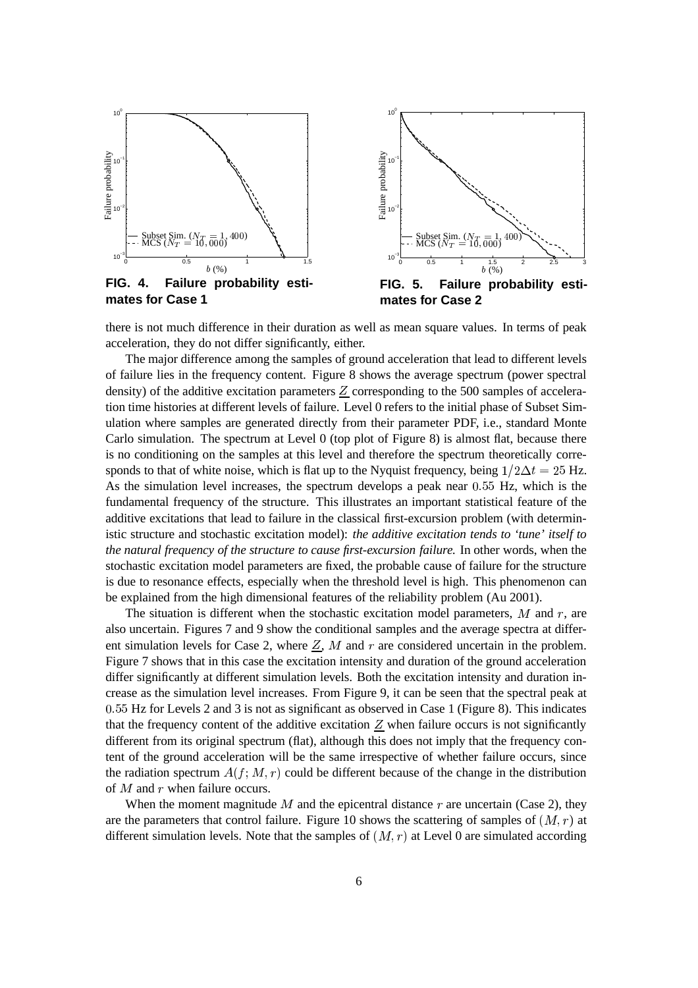

there is not much difference in their duration as well as mean square values. In terms of peak acceleration, they do not differ significantly, either.

The major difference among the samples of ground acceleration that lead to different levels of failure lies in the frequency content. Figure 8 shows the average spectrum (power spectral density) of the additive excitation parameters  $Z$  corresponding to the 500 samples of acceleration time histories at different levels of failure. Level 0 refers to the initial phase of Subset Simulation where samples are generated directly from their parameter PDF, i.e., standard Monte Carlo simulation. The spectrum at Level 0 (top plot of Figure 8) is almost flat, because there is no conditioning on the samples at this level and therefore the spectrum theoretically corresponds to that of white noise, which is flat up to the Nyquist frequency, being  $1/2\Delta t = 25$  Hz. As the simulation level increases, the spectrum develops a peak near  $0.55$  Hz, which is the fundamental frequency of the structure. This illustrates an important statistical feature of the additive excitations that lead to failure in the classical first-excursion problem (with deterministic structure and stochastic excitation model): *the additive excitation tends to 'tune' itself to the natural frequency of the structure to cause first-excursion failure.* In other words, when the stochastic excitation model parameters are fixed, the probable cause of failure for the structure is due to resonance effects, especially when the threshold level is high. This phenomenon can be explained from the high dimensional features of the reliability problem (Au 2001).

The situation is different when the stochastic excitation model parameters,  $M$  and  $r$ , are also uncertain. Figures 7 and 9 show the conditional samples and the average spectra at different simulation levels for Case 2, where  $Z$ , M and r are considered uncertain in the problem. Figure 7 shows that in this case the excitation intensity and duration of the ground acceleration differ significantly at different simulation levels. Both the excitation intensity and duration increase as the simulation level increases. From Figure 9, it can be seen that the spectral peak at  $0.55$  Hz for Levels 2 and 3 is not as significant as observed in Case 1 (Figure 8). This indicates that the frequency content of the additive excitation  $Z$  when failure occurs is not significantly different from its original spectrum (flat), although this does not imply that the frequency content of the ground acceleration will be the same irrespective of whether failure occurs, since the radiation spectrum  $A(f; M, r)$  could be different because of the change in the distribution of  $M$  and  $r$  when failure occurs.

When the moment magnitude M and the epicentral distance  $r$  are uncertain (Case 2), they are the parameters that control failure. Figure 10 shows the scattering of samples of  $(M, r)$  at different simulation levels. Note that the samples of  $(M, r)$  at Level 0 are simulated according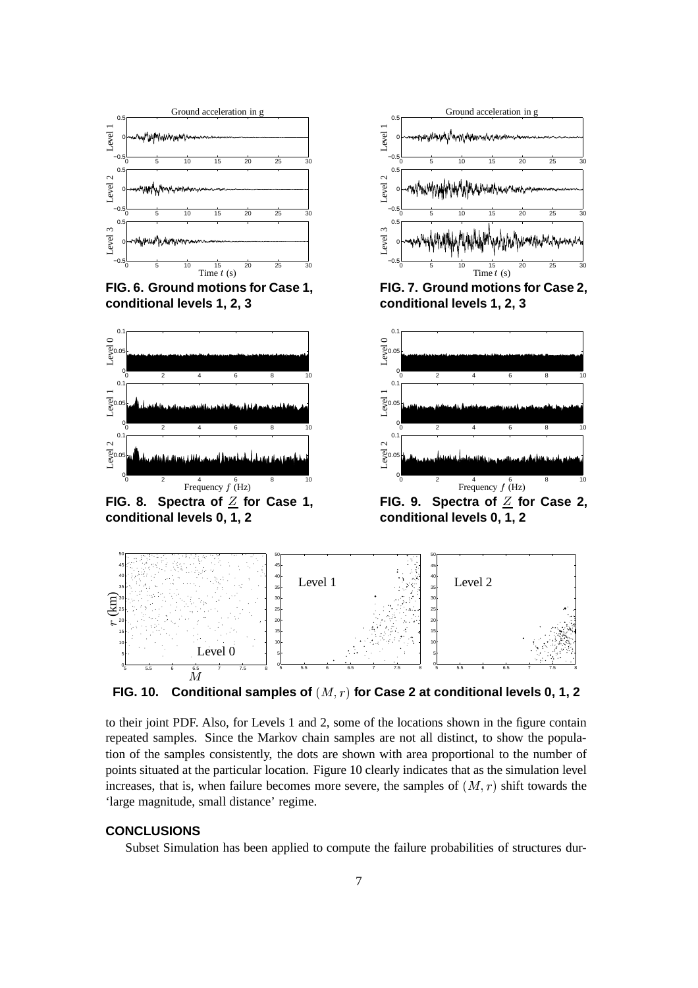

**FIG.** 10. Conditional samples of  $(M, r)$  for Case 2 at conditional levels 0, 1, 2

to their joint PDF. Also, for Levels 1 and 2, some of the locations shown in the figure contain repeated samples. Since the Markov chain samples are not all distinct, to show the population of the samples consistently, the dots are shown with area proportional to the number of points situated at the particular location. Figure 10 clearly indicates that as the simulation level increases, that is, when failure becomes more severe, the samples of  $(M, r)$  shift towards the 'large magnitude, small distance' regime.

# **CONCLUSIONS**

Subset Simulation has been applied to compute the failure probabilities of structures dur-